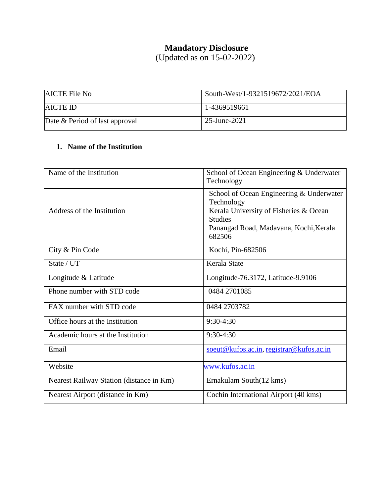## **Mandatory Disclosure**

(Updated as on 15-02-2022)

| <b>AICTE</b> File No           | South-West/1-9321519672/2021/EOA |
|--------------------------------|----------------------------------|
| <b>AICTE ID</b>                | 1-4369519661                     |
| Date & Period of last approval | 25-June-2021                     |

## **1. Name of the Institution**

| Name of the Institution                  | School of Ocean Engineering & Underwater<br>Technology                                                                                                                 |
|------------------------------------------|------------------------------------------------------------------------------------------------------------------------------------------------------------------------|
| Address of the Institution               | School of Ocean Engineering & Underwater<br>Technology<br>Kerala University of Fisheries & Ocean<br><b>Studies</b><br>Panangad Road, Madavana, Kochi, Kerala<br>682506 |
| City & Pin Code                          | Kochi, Pin-682506                                                                                                                                                      |
| State / UT                               | Kerala State                                                                                                                                                           |
| Longitude & Latitude                     | Longitude-76.3172, Latitude-9.9106                                                                                                                                     |
| Phone number with STD code               | 0484 2701085                                                                                                                                                           |
| FAX number with STD code                 | 0484 2703782                                                                                                                                                           |
| Office hours at the Institution          | 9:30-4:30                                                                                                                                                              |
| Academic hours at the Institution        | 9:30-4:30                                                                                                                                                              |
| Email                                    | soeut@kufos.ac.in, registrar@kufos.ac.in                                                                                                                               |
| Website                                  | www.kufos.ac.in                                                                                                                                                        |
| Nearest Railway Station (distance in Km) | Ernakulam South(12 kms)                                                                                                                                                |
| Nearest Airport (distance in Km)         | Cochin International Airport (40 kms)                                                                                                                                  |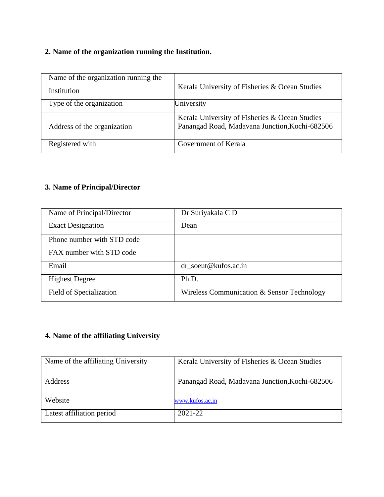## **2. Name of the organization running the Institution.**

| Name of the organization running the |                                                                                                  |
|--------------------------------------|--------------------------------------------------------------------------------------------------|
| Institution                          | Kerala University of Fisheries & Ocean Studies                                                   |
| Type of the organization             | University                                                                                       |
| Address of the organization          | Kerala University of Fisheries & Ocean Studies<br>Panangad Road, Madavana Junction, Kochi-682506 |
| Registered with                      | Government of Kerala                                                                             |

### **3. Name of Principal/Director**

| Name of Principal/Director | Dr Suriyakala C D                          |
|----------------------------|--------------------------------------------|
| <b>Exact Designation</b>   | Dean                                       |
| Phone number with STD code |                                            |
| FAX number with STD code   |                                            |
| Email                      | $dr\_soeut@kufos.ac.in$                    |
| <b>Highest Degree</b>      | Ph.D.                                      |
| Field of Specialization    | Wireless Communication & Sensor Technology |

## **4. Name of the affiliating University**

| Name of the affiliating University | Kerala University of Fisheries & Ocean Studies |
|------------------------------------|------------------------------------------------|
|                                    |                                                |
| Address                            | Panangad Road, Madavana Junction, Kochi-682506 |
|                                    |                                                |
| Website                            | www.kufos.ac.in                                |
| Latest affiliation period          | $2021 - 22$                                    |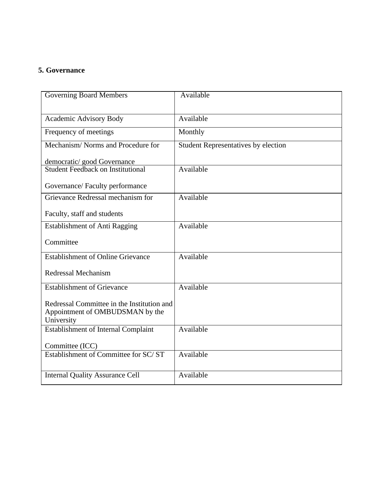#### **5. Governance**

| <b>Governing Board Members</b>                                                              | Available                                  |
|---------------------------------------------------------------------------------------------|--------------------------------------------|
| Academic Advisory Body                                                                      | Available                                  |
| Frequency of meetings                                                                       | Monthly                                    |
| Mechanism/Norms and Procedure for                                                           | <b>Student Representatives by election</b> |
| democratic/good Governance                                                                  |                                            |
| <b>Student Feedback on Institutional</b>                                                    | Available                                  |
| Governance/Faculty performance                                                              |                                            |
| Grievance Redressal mechanism for                                                           | Available                                  |
| Faculty, staff and students                                                                 |                                            |
| <b>Establishment of Anti Ragging</b>                                                        | Available                                  |
| Committee                                                                                   |                                            |
| <b>Establishment of Online Grievance</b>                                                    | Available                                  |
| <b>Redressal Mechanism</b>                                                                  |                                            |
| <b>Establishment of Grievance</b>                                                           | Available                                  |
| Redressal Committee in the Institution and<br>Appointment of OMBUDSMAN by the<br>University |                                            |
| <b>Establishment of Internal Complaint</b>                                                  | Available                                  |
| Committee (ICC)                                                                             |                                            |
| Establishment of Committee for SC/ST                                                        | Available                                  |
| <b>Internal Quality Assurance Cell</b>                                                      | Available                                  |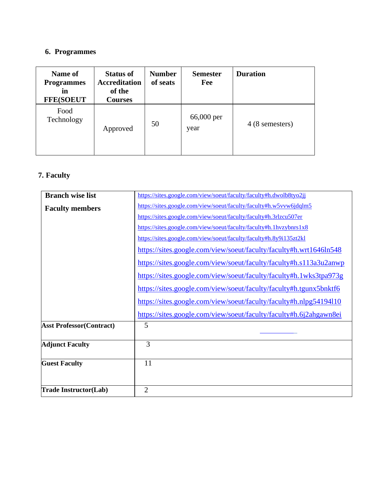### **6. Programmes**

| Name of<br><b>Programmes</b><br>in<br><b>FFE(SOEUT</b> | <b>Status of</b><br><b>Accreditation</b><br>of the<br><b>Courses</b> | <b>Number</b><br>of seats | <b>Semester</b><br>Fee | <b>Duration</b> |
|--------------------------------------------------------|----------------------------------------------------------------------|---------------------------|------------------------|-----------------|
| Food<br>Technology                                     | Approved                                                             | 50                        | 66,000 per<br>year     | 4 (8 semesters) |

## **7. Faculty**

| <b>Branch wise list</b>         | https://sites.google.com/view/soeut/faculty/faculty#h.dwolb8tyo2jj |
|---------------------------------|--------------------------------------------------------------------|
| <b>Faculty members</b>          | https://sites.google.com/view/soeut/faculty/faculty#h.w5vvw6jdqlm5 |
|                                 | https://sites.google.com/view/soeut/faculty/faculty#h.3rlzcu507er  |
|                                 | https://sites.google.com/view/soeut/faculty/faculty#h.1hvzybnrs1x8 |
|                                 | https://sites.google.com/view/soeut/faculty/faculty#h.8y9i135zt2kl |
|                                 | https://sites.google.com/view/soeut/faculty/faculty#h.wrt1646ln548 |
|                                 | https://sites.google.com/view/soeut/faculty/faculty#h.s113a3u2anwp |
|                                 | https://sites.google.com/view/soeut/faculty/faculty#h.1wks3tpa973g |
|                                 | https://sites.google.com/view/soeut/faculty/faculty#h.tgunx5bnktf6 |
|                                 | https://sites.google.com/view/soeut/faculty/faculty#h.nlpg54194110 |
|                                 | https://sites.google.com/view/soeut/faculty/faculty#h.6j2ahgawn8ei |
| <b>Asst Professor(Contract)</b> | 5                                                                  |
| <b>Adjunct Faculty</b>          | 3                                                                  |
| <b>Guest Faculty</b>            | 11                                                                 |
|                                 |                                                                    |
| <b>Trade Instructor(Lab)</b>    | $\overline{2}$                                                     |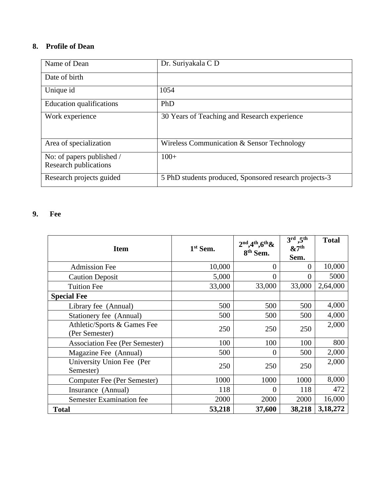### **8. Profile of Dean**

| Name of Dean                                       | Dr. Suriyakala C D                                     |
|----------------------------------------------------|--------------------------------------------------------|
| Date of birth                                      |                                                        |
| Unique id                                          | 1054                                                   |
| <b>Education qualifications</b>                    | PhD                                                    |
| Work experience                                    | 30 Years of Teaching and Research experience           |
| Area of specialization                             | Wireless Communication & Sensor Technology             |
| No: of papers published /<br>Research publications | $100+$                                                 |
| Research projects guided                           | 5 PhD students produced, Sponsored research projects-3 |

### **9. Fee**

| <b>Item</b>                                   | $1st$ Sem. | $2nd,4th,6th&$<br>8 <sup>th</sup> Sem. | $3^{\text{rd}}$ ,5 <sup>th</sup><br>$\&7^{\rm th}$<br>Sem. | <b>Total</b> |
|-----------------------------------------------|------------|----------------------------------------|------------------------------------------------------------|--------------|
| <b>Admission Fee</b>                          | 10,000     | $\overline{0}$                         | 0                                                          | 10,000       |
| <b>Caution Deposit</b>                        | 5,000      | $\overline{0}$                         | 0                                                          | 5000         |
| <b>Tuition Fee</b>                            | 33,000     | 33,000                                 | 33,000                                                     | 2,64,000     |
| <b>Special Fee</b>                            |            |                                        |                                                            |              |
| Library fee (Annual)                          | 500        | 500                                    | 500                                                        | 4,000        |
| Stationery fee (Annual)                       | 500        | 500                                    | 500                                                        | 4,000        |
| Athletic/Sports & Games Fee<br>(Per Semester) | 250        | 250                                    | 250                                                        | 2,000        |
| <b>Association Fee (Per Semester)</b>         | 100        | 100                                    | 100                                                        | 800          |
| Magazine Fee (Annual)                         | 500        | $\overline{0}$                         | 500                                                        | 2,000        |
| University Union Fee (Per<br>Semester)        | 250        | 250                                    | 250                                                        | 2,000        |
| Computer Fee (Per Semester)                   | 1000       | 1000                                   | 1000                                                       | 8,000        |
| Insurance (Annual)                            | 118        | $\Omega$                               | 118                                                        | 472          |
| <b>Semester Examination fee</b>               | 2000       | 2000                                   | 2000                                                       | 16,000       |
| <b>Total</b>                                  | 53,218     | 37,600                                 | 38,218                                                     | 3,18,272     |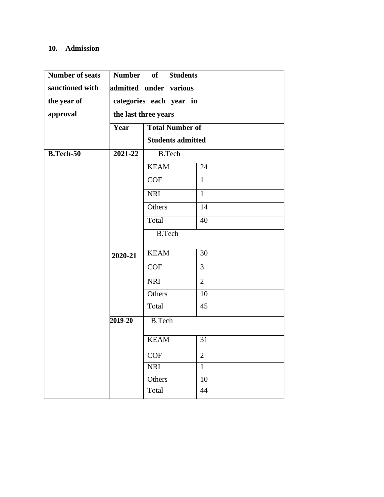#### **10. Admission**

| Number of seats | <b>Number</b> | of<br><b>Students</b>    |                |
|-----------------|---------------|--------------------------|----------------|
| sanctioned with |               | admitted under various   |                |
| the year of     |               | categories each year in  |                |
| approval        |               | the last three years     |                |
|                 | Year          | <b>Total Number of</b>   |                |
|                 |               | <b>Students admitted</b> |                |
| $B.Tech-50$     | 2021-22       | <b>B.Tech</b>            |                |
|                 |               | <b>KEAM</b>              | 24             |
|                 |               | COF                      | $\mathbf{1}$   |
|                 |               | <b>NRI</b>               | $\mathbf{1}$   |
|                 |               | Others                   | 14             |
|                 |               | Total                    | 40             |
|                 |               | <b>B.Tech</b>            |                |
|                 |               | <b>KEAM</b>              | 30             |
|                 | 2020-21       |                          |                |
|                 |               | <b>COF</b>               | $\overline{3}$ |
|                 |               | <b>NRI</b>               | $\overline{2}$ |
|                 |               | Others                   | 10             |
|                 |               | Total                    | 45             |
|                 | $2019 - 20$   | <b>B.Tech</b>            |                |
|                 |               | <b>KEAM</b>              | 31             |
|                 |               |                          |                |
|                 |               | <b>COF</b>               | $\mathbf{2}$   |
|                 |               | <b>NRI</b>               | $\mathbf{1}$   |
|                 |               | Others                   | 10             |
|                 |               | Total                    | 44             |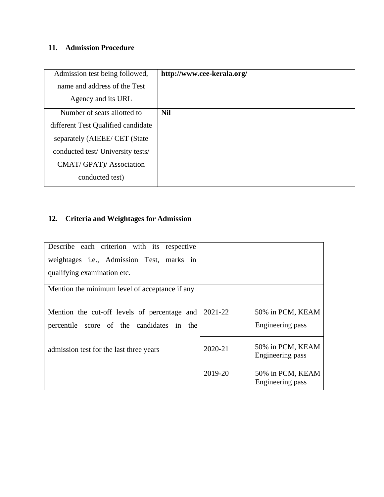## **11. Admission Procedure**

| Admission test being followed,     | http://www.cee-kerala.org/ |
|------------------------------------|----------------------------|
| name and address of the Test       |                            |
| Agency and its URL                 |                            |
| Number of seats allotted to        | <b>Nil</b>                 |
| different Test Qualified candidate |                            |
| separately (AIEEE/ CET (State)     |                            |
| conducted test/University tests/   |                            |
| CMAT/ GPAT)/ Association           |                            |
| conducted test)                    |                            |

## **12. Criteria and Weightages for Admission**

| Describe each criterion with its respective       |         |                                      |
|---------------------------------------------------|---------|--------------------------------------|
| weightages <i>i.e.</i> , Admission Test, marks in |         |                                      |
| qualifying examination etc.                       |         |                                      |
| Mention the minimum level of acceptance if any    |         |                                      |
| Mention the cut-off levels of percentage and      | 2021-22 | 50% in PCM, KEAM                     |
| percentile score of the candidates in the         |         | Engineering pass                     |
| admission test for the last three years           | 2020-21 | 50% in PCM, KEAM<br>Engineering pass |
|                                                   | 2019-20 | 50% in PCM, KEAM<br>Engineering pass |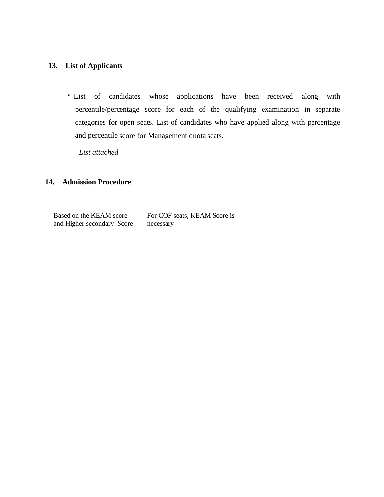#### **13. List of Applicants**

List of candidates whose applications have been received along with percentile/percentage score for each of the qualifying examination in separate categories for open seats. List of candidates who have applied along with percentage and percentile score for Management quota seats.

*List attached* 

#### **14. Admission Procedure**

| Based on the KEAM score    | For COF seats, KEAM Score is |  |
|----------------------------|------------------------------|--|
| and Higher secondary Score | necessary                    |  |
|                            |                              |  |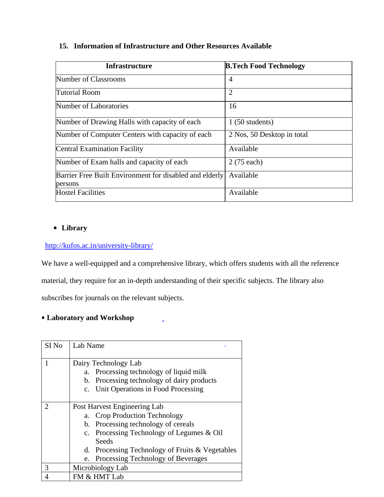#### **15. Information of Infrastructure and Other Resources Available**

| <b>Infrastructure</b>                                              | <b>B.Tech Food Technology</b> |
|--------------------------------------------------------------------|-------------------------------|
| Number of Classrooms                                               | $\overline{4}$                |
| <b>Tutorial Room</b>                                               | $\overline{2}$                |
| Number of Laboratories                                             | 16                            |
| Number of Drawing Halls with capacity of each                      | $1(50$ students)              |
| Number of Computer Centers with capacity of each                   | 2 Nos, 50 Desktop in total    |
| <b>Central Examination Facility</b>                                | Available                     |
| Number of Exam halls and capacity of each                          | 2 (75 each)                   |
| Barrier Free Built Environment for disabled and elderly<br>persons | Available                     |
| <b>Hostel Facilities</b>                                           | Available                     |

#### • **Library**

#### <http://kufos.ac.in/university-library/>

We have a well-equipped and a comprehensive library, which offers students with all the reference

material, they require for an in-depth understanding of their specific subjects. The library also

subscribes for journals on the relevant subjects.

#### • **Laboratory and Workshop**

| SI No | Lab Name                                        |  |  |
|-------|-------------------------------------------------|--|--|
|       |                                                 |  |  |
|       | Dairy Technology Lab                            |  |  |
|       | a. Processing technology of liquid milk         |  |  |
|       | b. Processing technology of dairy products      |  |  |
|       | c. Unit Operations in Food Processing           |  |  |
|       |                                                 |  |  |
|       | Post Harvest Engineering Lab                    |  |  |
|       | a. Crop Production Technology                   |  |  |
|       | b. Processing technology of cereals             |  |  |
|       | c. Processing Technology of Legumes & Oil       |  |  |
|       | Seeds                                           |  |  |
|       | d. Processing Technology of Fruits & Vegetables |  |  |
|       | e. Processing Technology of Beverages           |  |  |
| 3     | Microbiology Lab                                |  |  |
|       | FM & HMT Lab                                    |  |  |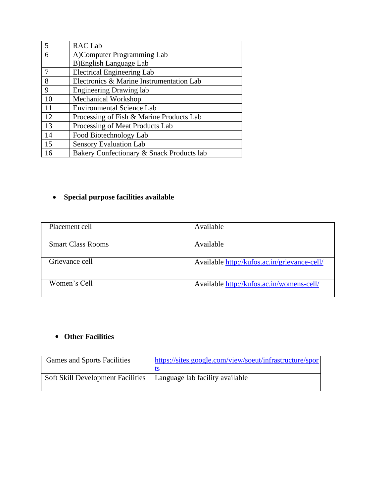|    | RAC Lab                                   |
|----|-------------------------------------------|
| 6  | A)Computer Programming Lab                |
|    | <b>B)English Language Lab</b>             |
|    | <b>Electrical Engineering Lab</b>         |
| 8  | Electronics & Marine Instrumentation Lab  |
| 9  | <b>Engineering Drawing lab</b>            |
| 10 | Mechanical Workshop                       |
| 11 | <b>Environmental Science Lab</b>          |
| 12 | Processing of Fish & Marine Products Lab  |
| 13 | Processing of Meat Products Lab           |
| 14 | Food Biotechnology Lab                    |
| 15 | <b>Sensory Evaluation Lab</b>             |
| 16 | Bakery Confectionary & Snack Products lab |

## • **Special purpose facilities available**

| Placement cell           | Available                                    |
|--------------------------|----------------------------------------------|
| <b>Smart Class Rooms</b> | Available                                    |
| Grievance cell           | Available http://kufos.ac.in/grievance-cell/ |
| Women's Cell             | Available http://kufos.ac.in/womens-cell/    |

## • **Other Facilities**

| <b>Games and Sports Facilities</b>       | https://sites.google.com/view/soeut/infrastructure/spor |
|------------------------------------------|---------------------------------------------------------|
|                                          |                                                         |
| <b>Soft Skill Development Facilities</b> | Language lab facility available                         |
|                                          |                                                         |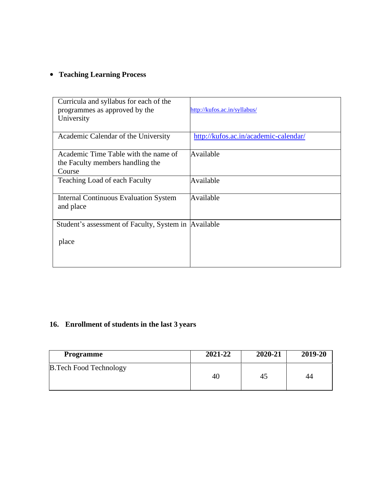## • **Teaching Learning Process**

| Curricula and syllabus for each of the<br>programmes as approved by the<br>University | http://kufos.ac.in/syllabus/          |
|---------------------------------------------------------------------------------------|---------------------------------------|
| Academic Calendar of the University                                                   | http://kufos.ac.in/academic-calendar/ |
| Academic Time Table with the name of<br>the Faculty members handling the<br>Course    | Available                             |
| Teaching Load of each Faculty                                                         | Available                             |
| <b>Internal Continuous Evaluation System</b><br>and place                             | Available                             |
| Student's assessment of Faculty, System in Available                                  |                                       |
| place                                                                                 |                                       |

### **16. Enrollment of students in the last 3 years**

| Programme                      | 2021-22 | 2020-21 | 2019-20 |
|--------------------------------|---------|---------|---------|
| <b>B. Tech Food Technology</b> | 40      | 45      | 44      |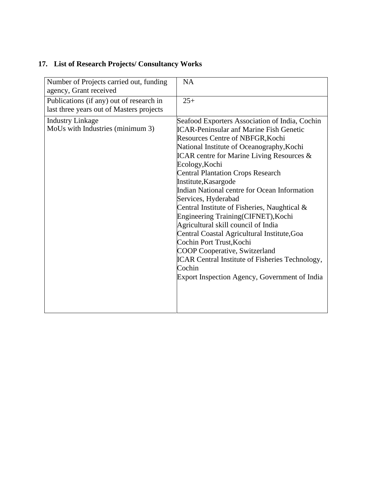# **17. List of Research Projects/ Consultancy Works**

| Number of Projects carried out, funding<br>agency, Grant received                    | <b>NA</b>                                                                                                                                                                                                                                                                                                                                                                                                                                                                                                                                                                                                                                                                                                                                                            |
|--------------------------------------------------------------------------------------|----------------------------------------------------------------------------------------------------------------------------------------------------------------------------------------------------------------------------------------------------------------------------------------------------------------------------------------------------------------------------------------------------------------------------------------------------------------------------------------------------------------------------------------------------------------------------------------------------------------------------------------------------------------------------------------------------------------------------------------------------------------------|
| Publications (if any) out of research in<br>last three years out of Masters projects | $25+$                                                                                                                                                                                                                                                                                                                                                                                                                                                                                                                                                                                                                                                                                                                                                                |
| <b>Industry Linkage</b><br>MoUs with Industries (minimum 3)                          | Seafood Exporters Association of India, Cochin<br><b>ICAR-Peninsular anf Marine Fish Genetic</b><br>Resources Centre of NBFGR, Kochi<br>National Institute of Oceanography, Kochi<br>ICAR centre for Marine Living Resources $\&$<br>Ecology, Kochi<br><b>Central Plantation Crops Research</b><br>Institute, Kasargode<br>Indian National centre for Ocean Information<br>Services, Hyderabad<br>Central Institute of Fisheries, Naughtical &<br>Engineering Training(CIFNET), Kochi<br>Agricultural skill council of India<br>Central Coastal Agricultural Institute, Goa<br>Cochin Port Trust, Kochi<br><b>COOP Cooperative, Switzerland</b><br><b>ICAR Central Institute of Fisheries Technology,</b><br>Cochin<br>Export Inspection Agency, Government of India |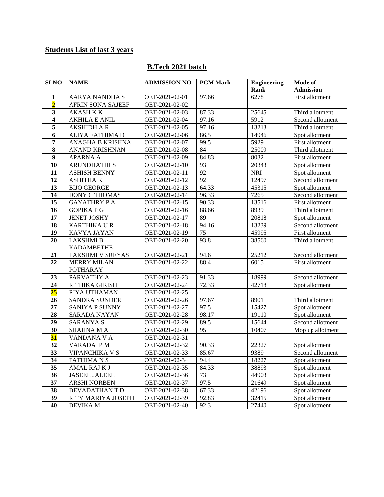### **Students List of last 3 years**

### **B.Tech 2021 batch**

| SI <sub>NO</sub>        | <b>NAME</b>              | <b>ADMISSION NO</b> | <b>PCM Mark</b> | <b>Engineering</b> | Mode of          |
|-------------------------|--------------------------|---------------------|-----------------|--------------------|------------------|
|                         |                          |                     |                 | Rank               | <b>Admission</b> |
| 1                       | AARYA NANDHA S           | OET-2021-02-01      | 97.66           | 6278               | First allotment  |
| $\overline{\mathbf{2}}$ | <b>AFRIN SONA SAJEEF</b> | OET-2021-02-02      |                 |                    |                  |
| $\mathbf{3}$            | <b>AKASH K K</b>         | OET-2021-02-03      | 87.33           | 25645              | Third allotment  |
| $\overline{\mathbf{4}}$ | <b>AKHILA E ANIL</b>     | OET-2021-02-04      | 97.16           | 5912               | Second allotment |
| 5                       | <b>AKSHIDH A R</b>       | OET-2021-02-05      | 97.16           | 13213              | Third allotment  |
| 6                       | ALIYA FATHIMA D          | OET-2021-02-06      | 86.5            | 14946              | Spot allotment   |
| $\overline{7}$          | ANAGHA B KRISHNA         | OET-2021-02-07      | 99.5            | 5929               | First allotment  |
| 8                       | ANAND KRISHNAN           | OET-2021-02-08      | 84              | 25009              | Third allotment  |
| $\boldsymbol{9}$        | <b>APARNA A</b>          | OET-2021-02-09      | 84.83           | 8032               | First allotment  |
| 10                      | <b>ARUNDHATHI S</b>      | OET-2021-02-10      | 93              | 20343              | Spot allotment   |
| 11                      | <b>ASHISH BENNY</b>      | OET-2021-02-11      | 92              | <b>NRI</b>         | Spot allotment   |
| 12                      | <b>ASHITHAK</b>          | OET-2021-02-12      | 92              | 12497              | Second allotment |
| 13                      | <b>BIJO GEORGE</b>       | OET-2021-02-13      | 64.33           | 45315              | Spot allotment   |
| 14                      | DONY C THOMAS            | OET-2021-02-14      | 96.33           | 7265               | Second allotment |
| 15                      | <b>GAYATHRY PA</b>       | OET-2021-02-15      | 90.33           | 13516              | First allotment  |
| 16                      | <b>GOPIKAPG</b>          | OET-2021-02-16      | 88.66           | 8939               | Third allotment  |
| 17                      | <b>JENET JOSHY</b>       | OET-2021-02-17      | 89              | 20818              | Spot allotment   |
| 18                      | <b>KARTHIKA U R</b>      | OET-2021-02-18      | 94.16           | 13239              | Second allotment |
| 19                      | KAVYA JAYAN              | OET-2021-02-19      | 75              | 45995              | First allotment  |
| 20                      | <b>LAKSHMI B</b>         | OET-2021-02-20      | 93.8            | 38560              | Third allotment  |
|                         | <b>KADAMBETHE</b>        |                     |                 |                    |                  |
| 21                      | <b>LAKSHMI V SREYAS</b>  | OET-2021-02-21      | 94.6            | 25212              | Second allotment |
| 22                      | <b>MERRY MILAN</b>       | OET-2021-02-22      | 88.4            | 6015               | First allotment  |
|                         | <b>POTHARAY</b>          |                     |                 |                    |                  |
| 23                      | PARVATHY A               | OET-2021-02-23      | 91.33           | 18999              | Second allotment |
| 24                      | RITHIKA GIRISH           | OET-2021-02-24      | 72.33           | 42718              | Spot allotment   |
| 25                      | RIYA UTHAMAN             | OET-2021-02-25      |                 |                    |                  |
| 26                      | <b>SANDRA SUNDER</b>     | OET-2021-02-26      | 97.67           | 8901               | Third allotment  |
| 27                      | SANIYA P SUNNY           | OET-2021-02-27      | 97.5            | 15427              | Spot allotment   |
| 28                      | <b>SARADA NAYAN</b>      | OET-2021-02-28      | 98.17           | 19110              | Spot allotment   |
| 29                      | <b>SARANYA S</b>         | OET-2021-02-29      | 89.5            | 15644              | Second allotment |
| $\overline{30}$         | SHAHNA M A               | OET-2021-02-30      | 95              | 10407              | Mop up allotment |
| 31                      | VANDANA V A              | OET-2021-02-31      |                 |                    |                  |
| 32                      | VARADA PM                | OET-2021-02-32      | 90.33           | 22327              | Spot allotment   |
| 33                      | <b>VIPANCHIKA V S</b>    | OET-2021-02-33      | 85.67           | 9389               | Second allotment |
| 34                      | <b>FATHIMANS</b>         | OET-2021-02-34      | 94.4            | 18227              | Spot allotment   |
| 35                      | AMAL RAJ K J             | OET-2021-02-35      | 84.33           | 38893              | Spot allotment   |
| 36                      | <b>JASEEL JALEEL</b>     | OET-2021-02-36      | 73              | 44903              | Spot allotment   |
| 37                      | <b>ARSHI NORBEN</b>      | OET-2021-02-37      | 97.5            | 21649              | Spot allotment   |
| 38                      | DEVADATHAN T D           | OET-2021-02-38      | 67.33           | 42196              | Spot allotment   |
| 39                      | RITY MARIYA JOSEPH       | OET-2021-02-39      | 92.83           | 32415              | Spot allotment   |
| 40                      | <b>DEVIKA M</b>          | OET-2021-02-40      | 92.3            | 27440              | Spot allotment   |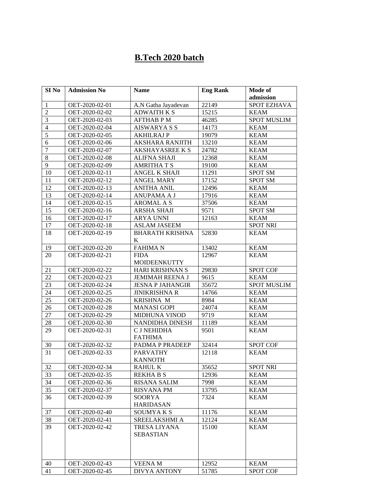# **B.Tech 2020 batch**

| SI <sub>No</sub> | <b>Admission No</b> | <b>Name</b>             | <b>Eng Rank</b> | Mode of            |
|------------------|---------------------|-------------------------|-----------------|--------------------|
|                  |                     |                         |                 | admission          |
| 1                | OET-2020-02-01      | A.N Gatha Jayadevan     | 22149           | <b>SPOT EZHAVA</b> |
| $\overline{2}$   | OET-2020-02-02      | <b>ADWAITH K S</b>      | 15215           | <b>KEAM</b>        |
| 3                | OET-2020-02-03      | AFTHAB P M              | 46285           | <b>SPOT MUSLIM</b> |
| $\overline{4}$   | OET-2020-02-04      | AISWARYA S S            | 14173           | <b>KEAM</b>        |
| 5                | OET-2020-02-05      | AKHILRAJ P              | 19079           | <b>KEAM</b>        |
| 6                | OET-2020-02-06      | <b>AKSHARA RANJITH</b>  | 13210           | <b>KEAM</b>        |
| 7                | OET-2020-02-07      | <b>AKSHAYASREE K S</b>  | 24782           | KEAM               |
| 8                | OET-2020-02-08      | <b>ALIFNA SHAJI</b>     | 12368           | <b>KEAM</b>        |
| 9                | OET-2020-02-09      | <b>AMRITHA T S</b>      | 19100           | <b>KEAM</b>        |
| 10               | OET-2020-02-11      | ANGEL K SHAJI           | 11291           | <b>SPOT SM</b>     |
| 11               | OET-2020-02-12      | ANGEL MARY              | 17152           | <b>SPOT SM</b>     |
| 12               | OET-2020-02-13      | <b>ANITHA ANIL</b>      | 12496           | <b>KEAM</b>        |
| 13               | OET-2020-02-14      | ANUPAMA A J             | 17916           | <b>KEAM</b>        |
| 14               | OET-2020-02-15      | AROMAL A S              | 37506           | <b>KEAM</b>        |
| 15               | OET-2020-02-16      | ARSHA SHAJI             | 9571            | SPOT SM            |
| 16               | OET-2020-02-17      | <b>ARYA UNNI</b>        | 12163           | <b>KEAM</b>        |
| 17               | OET-2020-02-18      | <b>ASLAM JASEEM</b>     |                 | <b>SPOT NRI</b>    |
| 18               | OET-2020-02-19      | <b>BHARATH KRISHNA</b>  | 52830           | <b>KEAM</b>        |
|                  |                     | K                       |                 |                    |
| 19               | OET-2020-02-20      | <b>FAHIMAN</b>          | 13402           | <b>KEAM</b>        |
| 20               | OET-2020-02-21      | <b>FIDA</b>             | 12967           | <b>KEAM</b>        |
|                  |                     | <b>MOIDEENKUTTY</b>     |                 |                    |
| 21               | OET-2020-02-22      | HARI KRISHNAN S         | 29830           | <b>SPOT COF</b>    |
| 22               | OET-2020-02-23      | JEMIMAH REENA J         | 9615            | <b>KEAM</b>        |
| 23               | OET-2020-02-24      | <b>JESNA P JAHANGIR</b> | 35672           | <b>SPOT MUSLIM</b> |
| 24               | OET-2020-02-25      | <b>JINIKRISHNA R</b>    | 14766           | <b>KEAM</b>        |
| 25               | OET-2020-02-26      | <b>KRISHNA M</b>        | 8984            | <b>KEAM</b>        |
| 26               | OET-2020-02-28      | <b>MANASI GOPI</b>      | 24074           | <b>KEAM</b>        |
| 27               | OET-2020-02-29      | MIDHUNA VINOD           | 9719            | <b>KEAM</b>        |
| 28               | OET-2020-02-30      | NANDIDHA DINESH         | 11189           | <b>KEAM</b>        |
| 29               | OET-2020-02-31      | C J NEHIDHA             | 9501            | <b>KEAM</b>        |
|                  |                     | <b>FATHIMA</b>          |                 |                    |
| 30               | OET-2020-02-32      | PADMA P PRADEEP         | 32414           | <b>SPOT COF</b>    |
| 31               | OET-2020-02-33      | <b>PARVATHY</b>         | 12118           | <b>KEAM</b>        |
|                  |                     | <b>KANNOTH</b>          |                 |                    |
| 32               | OET-2020-02-34      | RAHUL K                 | 35652           | SPOT NRI           |
| 33               | OET-2020-02-35      | REKHA B S               | 12936           | <b>KEAM</b>        |
| 34               | OET-2020-02-36      | <b>RISANA SALIM</b>     | 7998            | <b>KEAM</b>        |
| 35               | OET-2020-02-37      | <b>RISVANA PM</b>       | 13795           | <b>KEAM</b>        |
| 36               | OET-2020-02-39      | SOORYA                  | 7324            | <b>KEAM</b>        |
|                  |                     | <b>HARIDASAN</b>        |                 |                    |
| 37               | OET-2020-02-40      | <b>SOUMYAKS</b>         | 11176           | <b>KEAM</b>        |
| 38               | OET-2020-02-41      | SREELAKSHMI A           | 12124           | KEAM               |
| 39               | OET-2020-02-42      | TRESA LIYANA            | 15100           | <b>KEAM</b>        |
|                  |                     | <b>SEBASTIAN</b>        |                 |                    |
|                  |                     |                         |                 |                    |
|                  |                     |                         |                 |                    |
|                  |                     |                         |                 |                    |
| 40               | OET-2020-02-43      | <b>VEENAM</b>           | 12952           | <b>KEAM</b>        |
| 41               | OET-2020-02-45      | <b>DIVYA ANTONY</b>     | 51785           | <b>SPOT COF</b>    |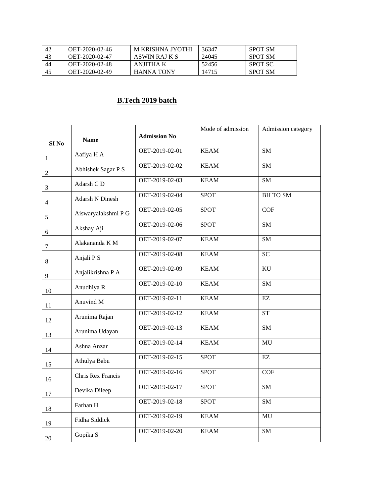| 42 | OET-2020-02-46 | M KRISHNA JYOTHI  | 36347 | <b>SPOT SM</b> |
|----|----------------|-------------------|-------|----------------|
| 43 | OET-2020-02-47 | ASWIN RAJ K S     | 24045 | <b>SPOT SM</b> |
| 44 | OET-2020-02-48 | ANIITHA K         | 52456 | SPOT SC        |
| 45 | OET-2020-02-49 | <b>HANNA TONY</b> | 14715 | <b>SPOT SM</b> |

### **B.Tech 2019 batch**

|                  |                     |                     | Mode of admission | Admission category     |
|------------------|---------------------|---------------------|-------------------|------------------------|
| SI <sub>No</sub> | <b>Name</b>         | <b>Admission No</b> |                   |                        |
| $\mathbf{1}$     | Aafiya H A          | OET-2019-02-01      | <b>KEAM</b>       | SM                     |
| $\overline{2}$   | Abhishek Sagar P S  | OET-2019-02-02      | <b>KEAM</b>       | <b>SM</b>              |
| 3                | Adarsh CD           | OET-2019-02-03      | <b>KEAM</b>       | $\overline{\text{SM}}$ |
| $\overline{4}$   | Adarsh N Dinesh     | OET-2019-02-04      | <b>SPOT</b>       | <b>BH TO SM</b>        |
| $\mathfrak{S}$   | Aiswaryalakshmi P G | OET-2019-02-05      | <b>SPOT</b>       | COF                    |
| 6                | Akshay Aji          | OET-2019-02-06      | <b>SPOT</b>       | SM                     |
| $\boldsymbol{7}$ | Alakananda K M      | OET-2019-02-07      | <b>KEAM</b>       | <b>SM</b>              |
| $8\,$            | Anjali P S          | OET-2019-02-08      | <b>KEAM</b>       | <b>SC</b>              |
| 9                | Anjalikrishna P A   | OET-2019-02-09      | <b>KEAM</b>       | $\rm KU$               |
| 10               | Anudhiya R          | OET-2019-02-10      | <b>KEAM</b>       | $\overline{\text{SM}}$ |
| 11               | Anuvind M           | OET-2019-02-11      | <b>KEAM</b>       | EZ                     |
| 12               | Arunima Rajan       | OET-2019-02-12      | <b>KEAM</b>       | <b>ST</b>              |
| 13               | Arunima Udayan      | OET-2019-02-13      | <b>KEAM</b>       | $\overline{\text{SM}}$ |
| 14               | Ashna Anzar         | OET-2019-02-14      | <b>KEAM</b>       | MU                     |
| 15               | Athulya Babu        | OET-2019-02-15      | <b>SPOT</b>       | $\mathbf{EZ}$          |
| 16               | Chris Rex Francis   | OET-2019-02-16      | <b>SPOT</b>       | COF                    |
| $17\,$           | Devika Dileep       | OET-2019-02-17      | <b>SPOT</b>       | <b>SM</b>              |
| 18               | Farhan H            | OET-2019-02-18      | <b>SPOT</b>       | $\overline{\text{SM}}$ |
| 19               | Fidha Siddick       | OET-2019-02-19      | KEAM              | MU                     |
| 20               | Gopika S            | OET-2019-02-20      | <b>KEAM</b>       | <b>SM</b>              |